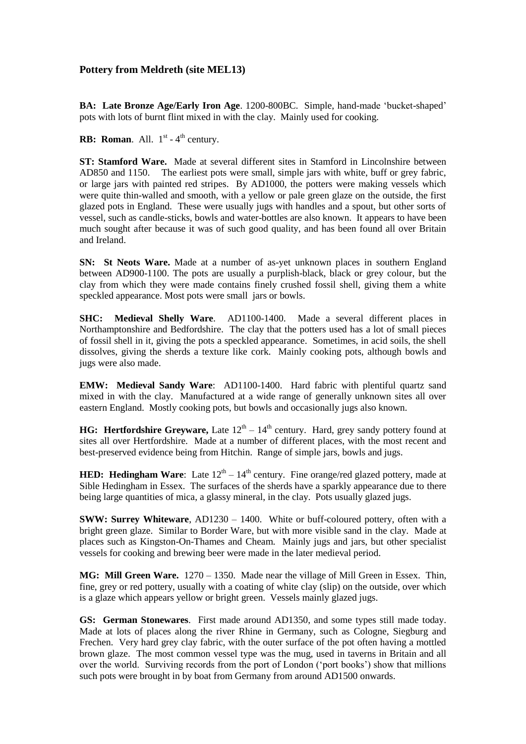# **Pottery from Meldreth (site MEL13)**

**BA: Late Bronze Age/Early Iron Age**. 1200-800BC. Simple, hand-made 'bucket-shaped' pots with lots of burnt flint mixed in with the clay. Mainly used for cooking.

**RB:** Roman. All.  $1<sup>st</sup> - 4<sup>th</sup>$  century.

**ST: Stamford Ware.** Made at several different sites in Stamford in Lincolnshire between AD850 and 1150. The earliest pots were small, simple jars with white, buff or grey fabric, or large jars with painted red stripes. By AD1000, the potters were making vessels which were quite thin-walled and smooth, with a yellow or pale green glaze on the outside, the first glazed pots in England. These were usually jugs with handles and a spout, but other sorts of vessel, such as candle-sticks, bowls and water-bottles are also known. It appears to have been much sought after because it was of such good quality, and has been found all over Britain and Ireland.

**SN: St Neots Ware.** Made at a number of as-yet unknown places in southern England between AD900-1100. The pots are usually a purplish-black, black or grey colour, but the clay from which they were made contains finely crushed fossil shell, giving them a white speckled appearance. Most pots were small jars or bowls.

**SHC: Medieval Shelly Ware**. AD1100-1400. Made a several different places in Northamptonshire and Bedfordshire. The clay that the potters used has a lot of small pieces of fossil shell in it, giving the pots a speckled appearance. Sometimes, in acid soils, the shell dissolves, giving the sherds a texture like cork. Mainly cooking pots, although bowls and jugs were also made.

**EMW: Medieval Sandy Ware**: AD1100-1400. Hard fabric with plentiful quartz sand mixed in with the clay. Manufactured at a wide range of generally unknown sites all over eastern England. Mostly cooking pots, but bowls and occasionally jugs also known.

**HG: Hertfordshire Greyware,** Late  $12<sup>th</sup> - 14<sup>th</sup>$  century. Hard, grey sandy pottery found at sites all over Hertfordshire. Made at a number of different places, with the most recent and best-preserved evidence being from Hitchin. Range of simple jars, bowls and jugs.

**HED:** Hedingham Ware: Late  $12<sup>th</sup> - 14<sup>th</sup>$  century. Fine orange/red glazed pottery, made at Sible Hedingham in Essex. The surfaces of the sherds have a sparkly appearance due to there being large quantities of mica, a glassy mineral, in the clay. Pots usually glazed jugs.

**SWW: Surrey Whiteware**, AD1230 – 1400. White or buff-coloured pottery, often with a bright green glaze. Similar to Border Ware, but with more visible sand in the clay. Made at places such as Kingston-On-Thames and Cheam. Mainly jugs and jars, but other specialist vessels for cooking and brewing beer were made in the later medieval period.

**MG: Mill Green Ware.** 1270 – 1350. Made near the village of Mill Green in Essex. Thin, fine, grey or red pottery, usually with a coating of white clay (slip) on the outside, over which is a glaze which appears yellow or bright green. Vessels mainly glazed jugs.

**GS: German Stonewares**. First made around AD1350, and some types still made today. Made at lots of places along the river Rhine in Germany, such as Cologne, Siegburg and Frechen. Very hard grey clay fabric, with the outer surface of the pot often having a mottled brown glaze. The most common vessel type was the mug, used in taverns in Britain and all over the world. Surviving records from the port of London ('port books') show that millions such pots were brought in by boat from Germany from around AD1500 onwards.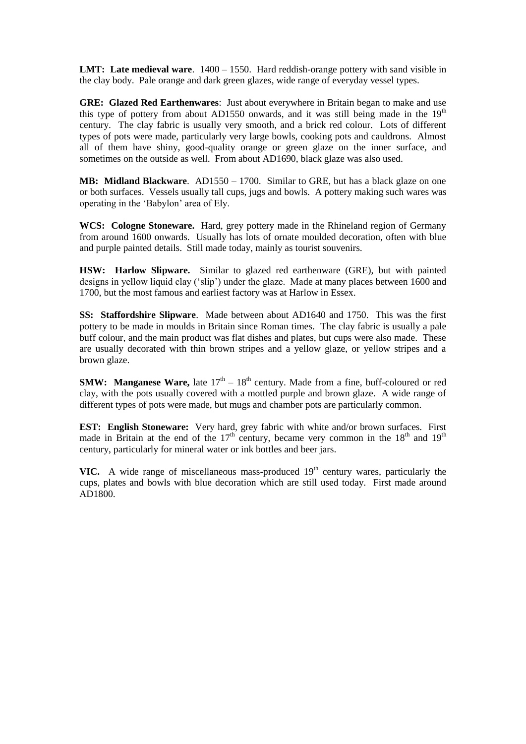**LMT: Late medieval ware**. 1400 – 1550. Hard reddish-orange pottery with sand visible in the clay body. Pale orange and dark green glazes, wide range of everyday vessel types.

**GRE: Glazed Red Earthenwares**: Just about everywhere in Britain began to make and use this type of pottery from about AD1550 onwards, and it was still being made in the  $19<sup>th</sup>$ century. The clay fabric is usually very smooth, and a brick red colour. Lots of different types of pots were made, particularly very large bowls, cooking pots and cauldrons. Almost all of them have shiny, good-quality orange or green glaze on the inner surface, and sometimes on the outside as well. From about AD1690, black glaze was also used.

**MB: Midland Blackware**. AD1550 – 1700. Similar to GRE, but has a black glaze on one or both surfaces. Vessels usually tall cups, jugs and bowls. A pottery making such wares was operating in the 'Babylon' area of Ely.

**WCS: Cologne Stoneware.** Hard, grey pottery made in the Rhineland region of Germany from around 1600 onwards. Usually has lots of ornate moulded decoration, often with blue and purple painted details. Still made today, mainly as tourist souvenirs.

**HSW: Harlow Slipware.** Similar to glazed red earthenware (GRE), but with painted designs in yellow liquid clay ('slip') under the glaze. Made at many places between 1600 and 1700, but the most famous and earliest factory was at Harlow in Essex.

**SS: Staffordshire Slipware**. Made between about AD1640 and 1750. This was the first pottery to be made in moulds in Britain since Roman times. The clay fabric is usually a pale buff colour, and the main product was flat dishes and plates, but cups were also made. These are usually decorated with thin brown stripes and a yellow glaze, or yellow stripes and a brown glaze.

**SMW:** Manganese Ware, late  $17<sup>th</sup> - 18<sup>th</sup>$  century. Made from a fine, buff-coloured or red clay, with the pots usually covered with a mottled purple and brown glaze. A wide range of different types of pots were made, but mugs and chamber pots are particularly common.

**EST: English Stoneware:** Very hard, grey fabric with white and/or brown surfaces. First made in Britain at the end of the  $17<sup>th</sup>$  century, became very common in the  $18<sup>th</sup>$  and  $19<sup>th</sup>$ century, particularly for mineral water or ink bottles and beer jars.

**VIC.** A wide range of miscellaneous mass-produced  $19<sup>th</sup>$  century wares, particularly the cups, plates and bowls with blue decoration which are still used today. First made around AD1800.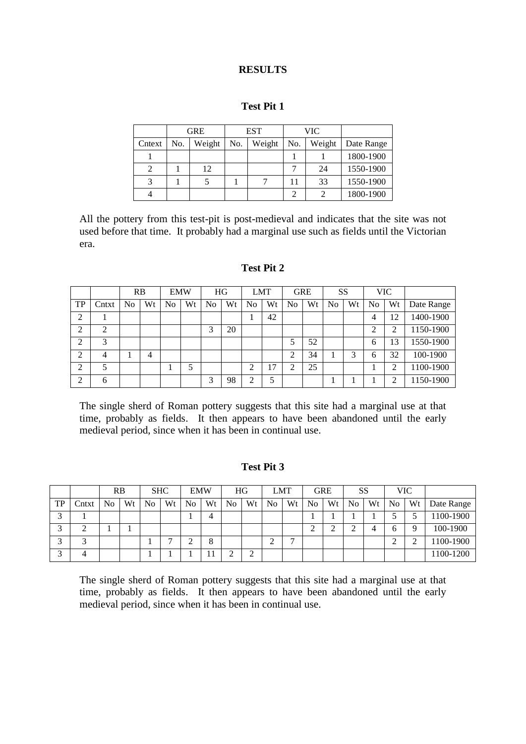# **RESULTS**

# **Test Pit 1**

|        |     | <b>GRE</b> |     | <b>EST</b> |     | <b>VIC</b> |            |
|--------|-----|------------|-----|------------|-----|------------|------------|
| Cntext | No. | Weight     | No. | Weight     | No. | Weight     | Date Range |
|        |     |            |     |            |     |            | 1800-1900  |
|        |     | 12         |     |            |     | 24         | 1550-1900  |
|        |     |            |     |            | 11  | 33         | 1550-1900  |
|        |     |            |     |            | റ   |            | 1800-1900  |

All the pottery from this test-pit is post-medieval and indicates that the site was not used before that time. It probably had a marginal use such as fields until the Victorian era.

# **Test Pit 2**

|                |       | RB |    | <b>EMW</b> |    |    | HG |    | <b>LMT</b> |    | <b>GRE</b> | <b>SS</b> |    |    | <b>VIC</b>  |            |
|----------------|-------|----|----|------------|----|----|----|----|------------|----|------------|-----------|----|----|-------------|------------|
| TP             | Cntxt | No | Wt | No         | Wt | No | Wt | No | Wt         | No | Wt         | No        | Wt | No | Wt          | Date Range |
| $\bigcap$<br>∠ |       |    |    |            |    |    |    |    | 42         |    |            |           |    |    | $^{\circ}2$ | 1400-1900  |
| 2              | 2     |    |    |            |    | ⌒  | 20 |    |            |    |            |           |    | ◠  | ◠           | 1150-1900  |
| ↑<br>∠         | 3     |    |    |            |    |    |    |    |            |    | 52         |           |    | 6  | 13          | 1550-1900  |
| $\bigcirc$     | 4     |    | 4  |            |    |    |    |    |            | ⌒  | 34         |           |    | 6  | 32          | 100-1900   |
| ↑<br>∠         | 5     |    |    |            |    |    |    | ⌒  | 17         |    | 25         |           |    |    | ◠           | 100-1900   |
| $\gamma$       | 6     |    |    |            |    | ⌒  | 98 | ◠  |            |    |            |           |    |    |             | 150-1900   |

The single sherd of Roman pottery suggests that this site had a marginal use at that time, probably as fields. It then appears to have been abandoned until the early medieval period, since when it has been in continual use.

## **Test Pit 3**

|        |                    | RB             |    | <b>SHC</b>     |    | <b>EMW</b> |    |                | HG          |    | LMT |                | <b>GRE</b> | SS |    |        | <b>VIC</b> |            |
|--------|--------------------|----------------|----|----------------|----|------------|----|----------------|-------------|----|-----|----------------|------------|----|----|--------|------------|------------|
| TP     | $\mathcal{L}$ ntxt | N <sub>0</sub> | Wt | N <sub>o</sub> | Wt | No         | Wt | N <sub>0</sub> | Wt          | No | Wt  | N <sub>o</sub> | Wt         | No | Wt | No     | Wt         | Date Range |
| $\sim$ |                    |                |    |                |    |            | 4  |                |             |    |     |                |            |    |    |        |            | 100-1900   |
| $\sim$ | ⌒<br>↩             |                |    |                |    |            |    |                |             |    |     | ⌒<br>∠         | ◠<br>∽     |    |    | b      | a          | 100-1900   |
| $\sim$ | ⌒                  |                |    |                |    |            | 8  |                |             | ⌒  | -   |                |            |    |    | $\sim$ | ⌒          | 100-1900   |
| $\sim$ | 4                  |                |    |                |    |            |    | ⌒              | $\sim$<br>∠ |    |     |                |            |    |    |        |            | 100-1200   |

The single sherd of Roman pottery suggests that this site had a marginal use at that time, probably as fields. It then appears to have been abandoned until the early medieval period, since when it has been in continual use.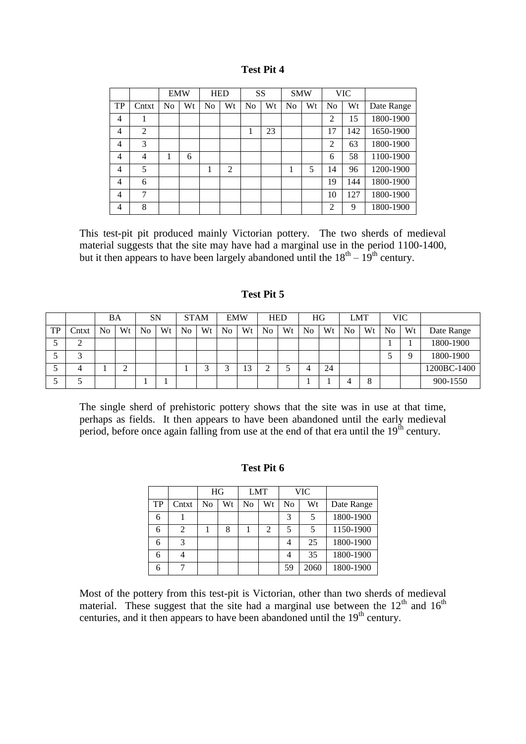|                |                | <b>EMW</b> |    |                | <b>HED</b>     | SS             |    | <b>SMW</b>     |    |                | <b>VIC</b> |            |
|----------------|----------------|------------|----|----------------|----------------|----------------|----|----------------|----|----------------|------------|------------|
| TP             | Cntxt          | No         | Wt | N <sub>o</sub> | Wt             | N <sub>0</sub> | Wt | N <sub>0</sub> | Wt | N <sub>o</sub> | Wt         | Date Range |
| $\overline{4}$ |                |            |    |                |                |                |    |                |    | 2              | 15         | 1800-1900  |
| 4              | $\overline{2}$ |            |    |                |                | 1              | 23 |                |    | 17             | 142        | 1650-1900  |
| 4              | 3              |            |    |                |                |                |    |                |    | $\overline{c}$ | 63         | 1800-1900  |
| 4              | 4              |            | 6  |                |                |                |    |                |    | 6              | 58         | 1100-1900  |
| 4              | 5              |            |    |                | $\overline{c}$ |                |    |                | 5  | 14             | 96         | 1200-1900  |
| $\overline{4}$ | 6              |            |    |                |                |                |    |                |    | 19             | 144        | 1800-1900  |
| 4              | 7              |            |    |                |                |                |    |                |    | 10             | 127        | 1800-1900  |
| 4              | 8              |            |    |                |                |                |    |                |    | $\overline{c}$ | 9          | 1800-1900  |

This test-pit pit produced mainly Victorian pottery. The two sherds of medieval material suggests that the site may have had a marginal use in the period 1100-1400, but it then appears to have been largely abandoned until the  $18<sup>th</sup> - 19<sup>th</sup>$  century.

# **Test Pit 5**

|    |        | BA             |        | <b>SN</b>      |    | <b>STAM</b> |    | <b>EMW</b>     |        | <b>HED</b> |    | HG             |    |    | LMT |    | <b>VIC</b> |             |
|----|--------|----------------|--------|----------------|----|-------------|----|----------------|--------|------------|----|----------------|----|----|-----|----|------------|-------------|
| TP | .)ntxt | N <sub>0</sub> | Wt     | N <sub>o</sub> | Wt | No          | Wt | N <sub>0</sub> | Wt     | No         | Wt | N <sub>o</sub> | Wt | No | Wt  | No | Wt         | Date Range  |
|    | ∠      |                |        |                |    |             |    |                |        |            |    |                |    |    |     |    |            | 1800-1900   |
|    |        |                |        |                |    |             |    |                |        |            |    |                |    |    |     |    | Q          | 1800-1900   |
|    |        |                | ◠<br>↵ |                |    |             |    |                | $\sim$ | ⌒<br>∸     |    |                | 24 |    |     |    |            | 1200BC-1400 |
|    |        |                |        |                |    |             |    |                |        |            |    |                |    |    | 8   |    |            | 900-1550    |

The single sherd of prehistoric pottery shows that the site was in use at that time, perhaps as fields. It then appears to have been abandoned until the early medieval period, before once again falling from use at the end of that era until the 19<sup>th</sup> century.

# **Test Pit 6**

|    |       | HG             |    | <b>LMT</b> |    |    | VIC  |            |
|----|-------|----------------|----|------------|----|----|------|------------|
| TP | Cntxt | N <sub>0</sub> | Wt | No         | Wt | No | Wt   | Date Range |
| 6  |       |                |    |            |    | 3  |      | 1800-1900  |
| 6  |       |                | 8  |            |    |    |      | 1150-1900  |
| 6  |       |                |    |            |    |    | 25   | 1800-1900  |
| 6  |       |                |    |            |    |    | 35   | 1800-1900  |
|    |       |                |    |            |    | 59 | 2060 | 1800-1900  |

Most of the pottery from this test-pit is Victorian, other than two sherds of medieval material. These suggest that the site had a marginal use between the  $12<sup>th</sup>$  and  $16<sup>th</sup>$ centuries, and it then appears to have been abandoned until the  $19<sup>th</sup>$  century.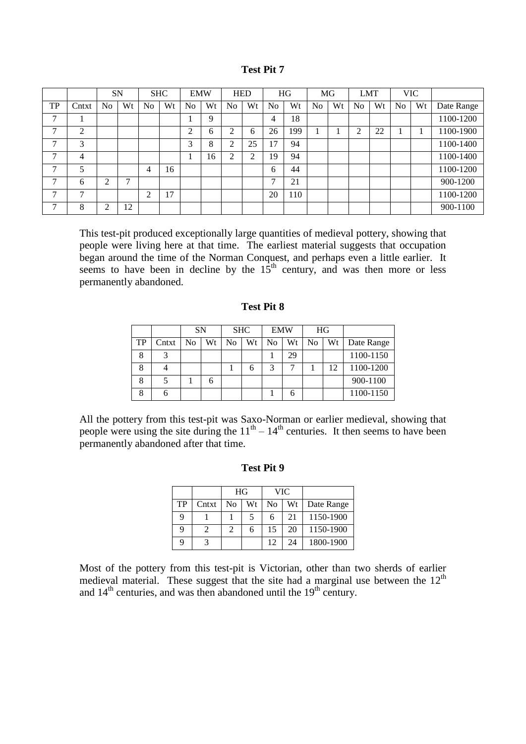|    |              |    | <b>SN</b> |                | <b>SHC</b> |                | <b>EMW</b> |                | <b>HED</b> |                | HG  |                | MG |                | <b>LMT</b> |                | <b>VIC</b> |            |
|----|--------------|----|-----------|----------------|------------|----------------|------------|----------------|------------|----------------|-----|----------------|----|----------------|------------|----------------|------------|------------|
| TP | Cntxt        | No | Wt        | No             | Wt         | N <sub>0</sub> | Wt         | N <sub>0</sub> | Wt         | N <sub>o</sub> | Wt  | N <sub>0</sub> | Wt | N <sub>o</sub> | Wt         | N <sub>o</sub> | Wt         | Date Range |
| 7  |              |    |           |                |            |                | 9          |                |            | 4              | 18  |                |    |                |            |                |            | 1100-1200  |
| ⇁  | ◠            |    |           |                |            | ↑              | 6          | ↑<br>∠         | 6          | 26             | 199 |                |    | ◠              | 22         |                |            | 1100-1900  |
| ⇁  | 3            |    |           |                |            | 3              | 8          | $\overline{2}$ | 25         | $\overline{7}$ | 94  |                |    |                |            |                |            | 1100-1400  |
| 7  | 4            |    |           |                |            |                | 16         | 2              | ↑          | 19             | 94  |                |    |                |            |                |            | 1100-1400  |
| −  | 5            |    |           | $\overline{4}$ | 16         |                |            |                |            | 6              | 44  |                |    |                |            |                |            | 1100-1200  |
| ⇁  | 6            | ◠  | 7         |                |            |                |            |                |            | ⇁              | 21  |                |    |                |            |                |            | 900-1200   |
| 7  | $\mathbf{r}$ |    |           | ↑              | 17         |                |            |                |            | 20             | 110 |                |    |                |            |                |            | 1100-1200  |
| −  | 8            | ◠  | 12        |                |            |                |            |                |            |                |     |                |    |                |            |                |            | 900-1100   |

This test-pit produced exceptionally large quantities of medieval pottery, showing that people were living here at that time. The earliest material suggests that occupation began around the time of the Norman Conquest, and perhaps even a little earlier. It seems to have been in decline by the  $15<sup>th</sup>$  century, and was then more or less permanently abandoned.

|    |       |    | <b>SN</b> |    | <b>SHC</b> |    | <b>EMW</b> | HG             |    |            |
|----|-------|----|-----------|----|------------|----|------------|----------------|----|------------|
| TP | Cntxt | No | Wt        | No | Wt         | No | Wt         | N <sub>0</sub> | Wt | Date Range |
| 8  |       |    |           |    |            |    | 29         |                |    | 1100-1150  |
| 8  |       |    |           |    | n          | 3  |            |                | 12 | 1100-1200  |
| 8  |       |    | 6         |    |            |    |            |                |    | 900-1100   |
| 8  |       |    |           |    |            |    |            |                |    | 1100-1150  |

**Test Pit 8**

All the pottery from this test-pit was Saxo-Norman or earlier medieval, showing that people were using the site during the  $11<sup>th</sup> - 14<sup>th</sup>$  centuries. It then seems to have been permanently abandoned after that time.

|    |       | HG             |    |    | <b>VIC</b> |            |
|----|-------|----------------|----|----|------------|------------|
| TP | Cntxt | No             | Wt | No | Wt         | Date Range |
| 9  |       |                | 5  |    | 21         | 1150-1900  |
| 9  | 2     | $\mathfrak{D}$ | 6  | 15 | 20         | 1150-1900  |
| Q  |       |                |    | 12 | 24         | 1800-1900  |

### **Test Pit 9**

Most of the pottery from this test-pit is Victorian, other than two sherds of earlier medieval material. These suggest that the site had a marginal use between the  $12<sup>th</sup>$ and  $14<sup>th</sup>$  centuries, and was then abandoned until the  $19<sup>th</sup>$  century.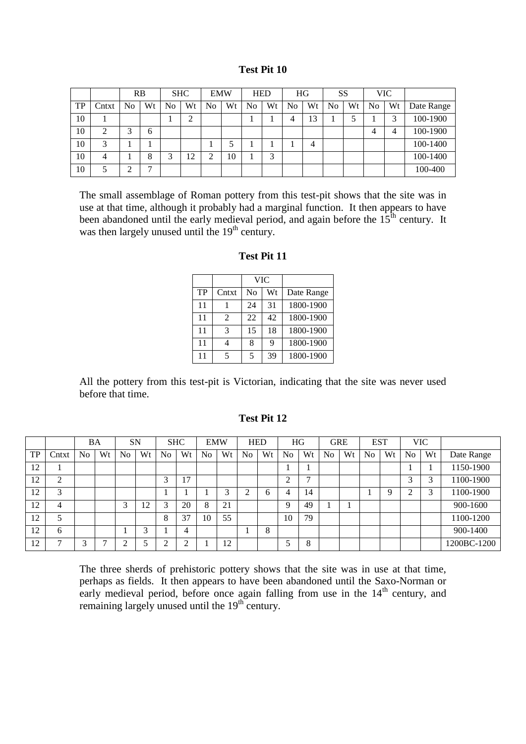| <b>Test Pit 10</b> |  |
|--------------------|--|
|--------------------|--|

|    |       | RB |    |    | <b>SHC</b> | <b>EMW</b> |    |    | <b>HED</b> |    | HG | <b>SS</b> |    |    | <b>VIC</b> |            |
|----|-------|----|----|----|------------|------------|----|----|------------|----|----|-----------|----|----|------------|------------|
| TP | Cntxt | No | Wt | No | Wt         | No         | Wt | No | Wt         | No | Wt | No        | Wt | No | Wt         | Date Range |
| 10 |       |    |    |    | ⌒<br>∠     |            |    |    |            |    | 13 |           |    |    |            | 100-1900   |
| 10 | ◠     | 2  | 6  |    |            |            |    |    |            |    |    |           |    | 4  | 4          | 100-1900   |
| 10 | 3     |    |    |    |            |            |    |    |            |    | 4  |           |    |    |            | 100-1400   |
| 10 | 4     |    | 8  | ⌒  | 12         |            | 10 |    | 3          |    |    |           |    |    |            | 100-1400   |
| 10 |       | ⌒  | −  |    |            |            |    |    |            |    |    |           |    |    |            | 100-400    |

The small assemblage of Roman pottery from this test-pit shows that the site was in use at that time, although it probably had a marginal function. It then appears to have been abandoned until the early medieval period, and again before the  $15<sup>th</sup>$  century. It was then largely unused until the 19<sup>th</sup> century.

|    |                          |    | <b>VIC</b> |            |
|----|--------------------------|----|------------|------------|
| TP | Cntxt                    | No | Wt         | Date Range |
| 11 |                          | 24 | 31         | 1800-1900  |
| 11 | 2                        | 22 | 42         | 1800-1900  |
| 11 | 3                        | 15 | 18         | 1800-1900  |
| 11 |                          | 8  | 9          | 1800-1900  |
| 11 | $\overline{\phantom{0}}$ | 5  | 39         | 1800-1900  |

**Test Pit 11**

All the pottery from this test-pit is Victorian, indicating that the site was never used before that time.

# **Test Pit 12**

|           |        | <b>BA</b> |    |                         | <b>SN</b> | <b>SHC</b>     |    | <b>EMW</b> |    | <b>HED</b>     |    |    | HG |                | <b>GRE</b> |                | <b>EST</b> |                | <b>VIC</b> |             |
|-----------|--------|-----------|----|-------------------------|-----------|----------------|----|------------|----|----------------|----|----|----|----------------|------------|----------------|------------|----------------|------------|-------------|
| <b>TP</b> | Cntxt  | No        | Wt | N <sub>0</sub>          | Wt        | N <sub>0</sub> | Wt | <b>No</b>  | Wt | N <sub>0</sub> | Wt | No | Wt | N <sub>0</sub> | Wt         | N <sub>o</sub> | Wt         | N <sub>o</sub> | Wt         | Date Range  |
| 12        |        |           |    |                         |           |                |    |            |    |                |    |    |    |                |            |                |            |                |            | 1150-1900   |
| 12        | ◠<br>∠ |           |    |                         |           | 3              | 17 |            |    |                |    | ◠  | ⇁  |                |            |                |            | ⌒<br>Ć         | 2          | 1100-1900   |
| 12        | 3      |           |    |                         |           |                |    |            | 2  | ◠              | 6  | 4  | 14 |                |            |                | Q          | ◠              | 2          | 1100-1900   |
| 12        | 4      |           |    | $\mathbf{\overline{3}}$ | 12        | 3              | 20 | 8          | 21 |                |    | Q  | 49 |                |            |                |            |                |            | 900-1600    |
| 12        | ς      |           |    |                         |           | 8              | 37 | 10         | 55 |                |    | 10 | 79 |                |            |                |            |                |            | 1100-1200   |
| 12        | 6      |           |    |                         | ⌒         |                | 4  |            |    |                | 8  |    |    |                |            |                |            |                |            | 900-1400    |
| 12        |        | ⌒         | ⇁  |                         |           | ↑<br>∼         |    |            | 12 |                |    |    | 8  |                |            |                |            |                |            | 1200BC-1200 |

The three sherds of prehistoric pottery shows that the site was in use at that time, perhaps as fields. It then appears to have been abandoned until the Saxo-Norman or early medieval period, before once again falling from use in the 14<sup>th</sup> century, and remaining largely unused until the  $19<sup>th</sup>$  century.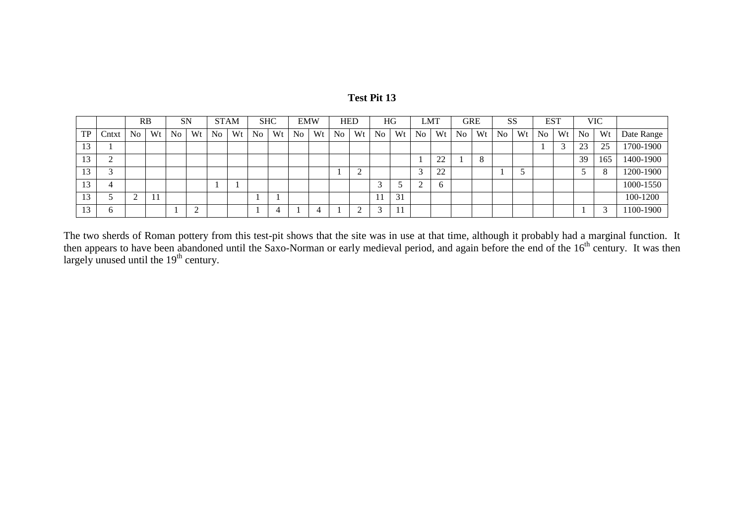|           |          | RB |    | <b>SN</b>      |                |                | <b>STAM</b> |    | <b>SHC</b> | <b>EMW</b> |    | <b>HED</b> |    |                | HG | <b>LMT</b> |    | <b>GRE</b>     |    | SS             |    | <b>EST</b>     |            |    | <b>VIC</b> |            |
|-----------|----------|----|----|----------------|----------------|----------------|-------------|----|------------|------------|----|------------|----|----------------|----|------------|----|----------------|----|----------------|----|----------------|------------|----|------------|------------|
| <b>TP</b> | Cntxt    | No | Wt | N <sub>o</sub> | Wt             | N <sub>o</sub> | Wt          | No | Wt         | No         | Wt | No         | Wt | N <sub>o</sub> | Wt | No         | Wt | N <sub>o</sub> | Wt | N <sub>o</sub> | Wt | N <sub>o</sub> | Wt         | No | Wt         | Date Range |
| 13        |          |    |    |                |                |                |             |    |            |            |    |            |    |                |    |            |    |                |    |                |    |                | $\sqrt{2}$ | 23 | 25         | 1700-1900  |
| 13        | ∠        |    |    |                |                |                |             |    |            |            |    |            |    |                |    |            | 22 |                | 8  |                |    |                |            | 39 | 165        | 1400-1900  |
|           |          |    |    |                |                |                |             |    |            |            |    |            |    |                |    |            | 22 |                |    |                |    |                |            |    |            | 1200-1900  |
| 13        | 4        |    |    |                |                |                |             |    |            |            |    |            |    |                |    | ∠          | O  |                |    |                |    |                |            |    |            | 1000-1550  |
| 13        |          | ◠  |    |                |                |                |             |    |            |            |    |            |    |                | 31 |            |    |                |    |                |    |                |            |    |            | 100-1200   |
|           | $\sigma$ |    |    |                | $\overline{ }$ |                |             |    | $\epsilon$ |            |    |            |    |                |    |            |    |                |    |                |    |                |            |    |            | 1100-1900  |

The two sherds of Roman pottery from this test-pit shows that the site was in use at that time, although it probably had a marginal function. It then appears to have been abandoned until the Saxo-Norman or early medieval period, and again before the end of the 16<sup>th</sup> century. It was then largely unused until the  $19<sup>th</sup>$  century.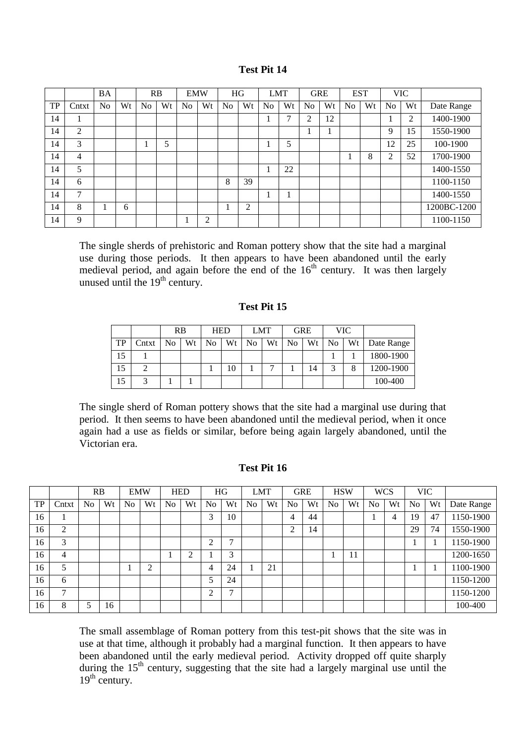|           |       | <b>BA</b>      |    |                | RB | <b>EMW</b> |    |                | HG     | <b>LMT</b>     |    |                | <b>GRE</b> | <b>EST</b>     |    |                | <b>VIC</b> |             |
|-----------|-------|----------------|----|----------------|----|------------|----|----------------|--------|----------------|----|----------------|------------|----------------|----|----------------|------------|-------------|
| <b>TP</b> | Cntxt | N <sub>0</sub> | Wt | N <sub>0</sub> | Wt | No         | Wt | N <sub>o</sub> | Wt     | N <sub>0</sub> | Wt | N <sub>0</sub> | Wt         | N <sub>0</sub> | Wt | N <sub>0</sub> | Wt         | Date Range  |
| 14        |       |                |    |                |    |            |    |                |        |                | ⇁  | っ              | 12         |                |    |                | 2          | 1400-1900   |
| 14        | 2     |                |    |                |    |            |    |                |        |                |    |                |            |                |    | 9              | 15         | 1550-1900   |
| 14        | 3     |                |    |                | 5  |            |    |                |        |                | 5  |                |            |                |    | 12             | 25         | 100-1900    |
| 14        | 4     |                |    |                |    |            |    |                |        |                |    |                |            | Л              | 8  | $\overline{2}$ | 52         | 1700-1900   |
| 14        | 5     |                |    |                |    |            |    |                |        |                | 22 |                |            |                |    |                |            | 1400-1550   |
| 14        | 6     |                |    |                |    |            |    | 8              | 39     |                |    |                |            |                |    |                |            | 1100-1150   |
| 14        | 7     |                |    |                |    |            |    |                |        |                |    |                |            |                |    |                |            | 1400-1550   |
| 14        | 8     |                | 6  |                |    |            |    |                | ◠<br>∠ |                |    |                |            |                |    |                |            | 1200BC-1200 |
| 14        | 9     |                |    |                |    |            | ↑  |                |        |                |    |                |            |                |    |                |            | 1100-1150   |

The single sherds of prehistoric and Roman pottery show that the site had a marginal use during those periods. It then appears to have been abandoned until the early medieval period, and again before the end of the  $16<sup>th</sup>$  century. It was then largely unused until the  $19<sup>th</sup>$  century.

# **Test Pit 15**

|    |       | <b>RB</b>      |    | <b>HED</b> |    |    | <b>LMT</b> |    | <b>GRE</b> |                | VIC. |            |
|----|-------|----------------|----|------------|----|----|------------|----|------------|----------------|------|------------|
| TP | Cntxt | N <sub>0</sub> | Wt | No         | Wt | No | Wt         | No | Wt         | N <sub>o</sub> | Wt   | Date Range |
| 15 |       |                |    |            |    |    |            |    |            |                |      | 1800-1900  |
| 15 |       |                |    |            | 10 |    |            |    | 14         | ⌒              | 8    | 1200-1900  |
| 15 |       |                |    |            |    |    |            |    |            |                |      | 100-400    |

The single sherd of Roman pottery shows that the site had a marginal use during that period. It then seems to have been abandoned until the medieval period, when it once again had a use as fields or similar, before being again largely abandoned, until the Victorian era.

### **Test Pit 16**

|           |       |                | RB | <b>EMW</b> |    |                | <b>HED</b> |                | HG           | <b>LMT</b>     |    |                | <b>GRE</b> | <b>HSW</b> |    | <b>WCS</b>     |    |                | <b>VIC</b> |            |
|-----------|-------|----------------|----|------------|----|----------------|------------|----------------|--------------|----------------|----|----------------|------------|------------|----|----------------|----|----------------|------------|------------|
| <b>TP</b> | Cntxt | N <sub>o</sub> | Wt | No         | Wt | N <sub>o</sub> | Wt         | N <sub>o</sub> | Wt           | N <sub>0</sub> | Wt | N <sub>0</sub> | Wt         | No         | Wt | N <sub>0</sub> | Wt | N <sub>o</sub> | Wt         | Date Range |
| 16        |       |                |    |            |    |                |            | 3              | 10           |                |    | 4              | 44         |            |    |                |    | 19             | 47         | 1150-1900  |
| 16        | 2     |                |    |            |    |                |            |                |              |                |    | 2              | 14         |            |    |                |    | 29             | 74         | 1550-1900  |
| 16        | 3     |                |    |            |    |                |            | ◠              | ⇁            |                |    |                |            |            |    |                |    |                |            | 1150-1900  |
| 16        | 4     |                |    |            |    |                | ⌒          |                | 3            |                |    |                |            |            | 11 |                |    |                |            | 1200-1650  |
| 16        | 5     |                |    |            | ◠  |                |            | 4              | 24           |                | 21 |                |            |            |    |                |    |                |            | 1100-1900  |
| 16        | 6     |                |    |            |    |                |            |                | 24           |                |    |                |            |            |    |                |    |                |            | 1150-1200  |
| 16        | ⇁     |                |    |            |    |                |            | ◠              | $\mathbf{r}$ |                |    |                |            |            |    |                |    |                |            | 1150-1200  |
| 16        | 8     |                | 16 |            |    |                |            |                |              |                |    |                |            |            |    |                |    |                |            | 100-400    |

The small assemblage of Roman pottery from this test-pit shows that the site was in use at that time, although it probably had a marginal function. It then appears to have been abandoned until the early medieval period. Activity dropped off quite sharply during the 15<sup>th</sup> century, suggesting that the site had a largely marginal use until the  $19<sup>th</sup>$  century.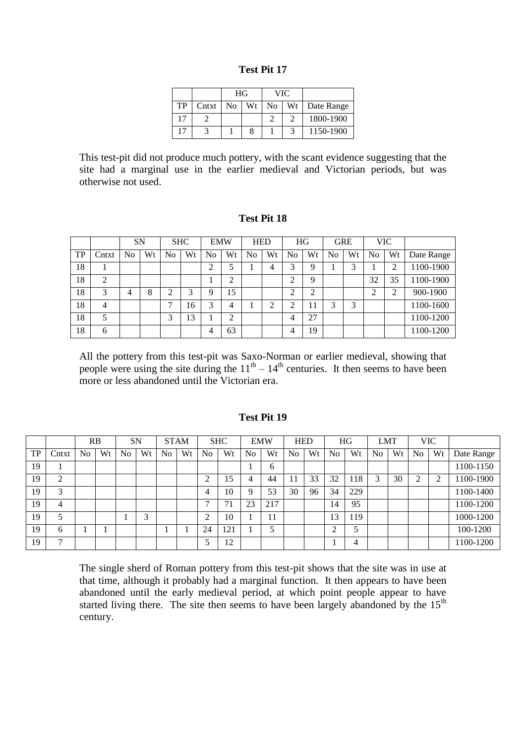| Test Pit 1 |  |  |
|------------|--|--|
|------------|--|--|

|    |       | HG             |    |                | VIC. |               |
|----|-------|----------------|----|----------------|------|---------------|
| TP | Cntxt | N <sub>o</sub> | Wt | N <sub>0</sub> |      | Wt Date Range |
|    |       |                |    |                |      | 1800-1900     |
|    |       |                |    |                |      | 1150-1900     |

This test-pit did not produce much pottery, with the scant evidence suggesting that the site had a marginal use in the earlier medieval and Victorian periods, but was otherwise not used.

#### **Test Pit 18**

|    |       | <b>SN</b> |    |    | <b>SHC</b> | <b>EMW</b> |    |    | <b>HED</b> | <b>HG</b> |    | <b>GRE</b>     |    |                | <b>VIC</b> |            |
|----|-------|-----------|----|----|------------|------------|----|----|------------|-----------|----|----------------|----|----------------|------------|------------|
| TP | Cntxt | No        | Wt | No | Wt         | No         | Wt | No | Wt         | No        | Wt | N <sub>0</sub> | Wt | N <sub>0</sub> | Wt         | Date Range |
| 18 |       |           |    |    |            | ◠          |    |    | 4          | ⌒         | Q  |                | ⌒  |                | ◠          | 1100-1900  |
| 18 | 2     |           |    |    |            |            | ◠  |    |            | ⌒<br>∸    | Q  |                |    | 32             | 35         | 1100-1900  |
| 18 | 3     | 4         | 8  |    | 3          | q          | 15 |    |            | ◠         | ⌒  |                |    |                | ◠          | 900-1900   |
| 18 | 4     |           |    | −  | 16         | 3          | 4  |    |            |           |    | ⌒              | 3  |                |            | 1100-1600  |
| 18 | 5     |           |    | 2  | 13         |            | ◠  |    |            | 4         | 27 |                |    |                |            | 1100-1200  |
| 18 | 6     |           |    |    |            | 4          | 63 |    |            | 4         | 19 |                |    |                |            | 1100-1200  |

All the pottery from this test-pit was Saxo-Norman or earlier medieval, showing that people were using the site during the  $11<sup>th</sup> - 14<sup>th</sup>$  centuries. It then seems to have been more or less abandoned until the Victorian era.

## **Test Pit 19**

|    |       |                | RB |    | <b>SN</b> |    | <b>STAM</b> |    | <b>SHC</b> |                | <b>EMW</b> |    | <b>HED</b> |    | HG  | <b>LMT</b>     |    |                | <b>VIC</b> |            |
|----|-------|----------------|----|----|-----------|----|-------------|----|------------|----------------|------------|----|------------|----|-----|----------------|----|----------------|------------|------------|
| TP | Cntxt | N <sub>o</sub> | Wt | No | Wt        | No | Wt          | No | Wt         | N <sub>o</sub> | Wt         | No | Wt         | No | Wt  | N <sub>o</sub> | Wt | N <sub>o</sub> | Wt         | Date Range |
| 19 |       |                |    |    |           |    |             |    |            |                | 6          |    |            |    |     |                |    |                |            | 1100-1150  |
| 19 | ◠     |                |    |    |           |    |             | ◠  | 15         | 4              | 44         |    | 33         | 32 | 18  | 3              | 30 | ◠              | ◠          | 1100-1900  |
| 19 | 2     |                |    |    |           |    |             | 4  | 10         |                | 53         | 30 | 96         | 34 | 229 |                |    |                |            | 1100-1400  |
| 19 | 4     |                |    |    |           |    |             | ∽  | 71         | 23             | 217        |    |            | 14 | 95  |                |    |                |            | 1100-1200  |
| 19 |       |                |    |    | 3         |    |             | ◠  | 10         |                | 11         |    |            | 13 | 19  |                |    |                |            | 1000-1200  |
| 19 | h     |                |    |    |           |    |             | 24 | 121        |                |            |    |            | ◠  | C   |                |    |                |            | 100-1200   |
| 19 | ⇁     |                |    |    |           |    |             |    | 12         |                |            |    |            |    | 4   |                |    |                |            | 1100-1200  |

The single sherd of Roman pottery from this test-pit shows that the site was in use at that time, although it probably had a marginal function. It then appears to have been abandoned until the early medieval period, at which point people appear to have started living there. The site then seems to have been largely abandoned by the  $15<sup>th</sup>$ century.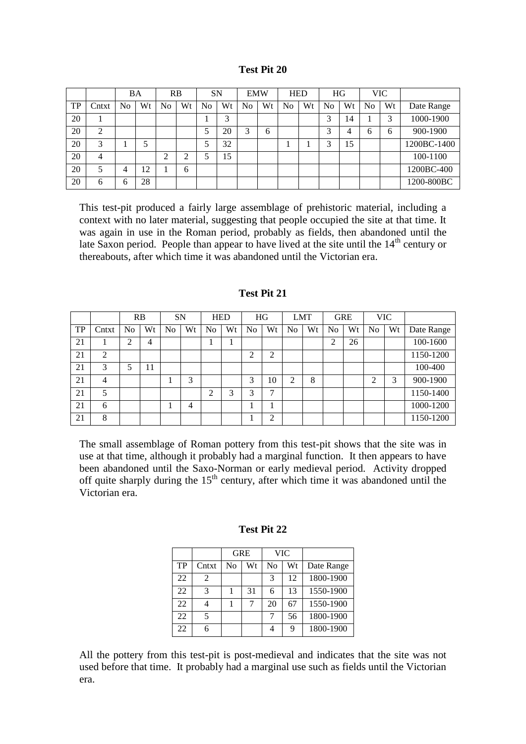|    |       | BA |    | RB |    | <b>SN</b> |    | <b>EMW</b> |    |    | <b>HED</b> |    | HG |    | <b>VIC</b> |             |
|----|-------|----|----|----|----|-----------|----|------------|----|----|------------|----|----|----|------------|-------------|
| TP | Cntxt | No | Wt | No | Wt | No        | Wt | No         | Wt | No | Wt         | No | Wt | No | Wt         | Date Range  |
| 20 |       |    |    |    |    |           | 3  |            |    |    |            | 3  | 14 |    | 3          | 1000-1900   |
| 20 | 2     |    |    |    |    |           | 20 | 3          | 6  |    |            | 3  | 4  | ი  | 6          | 900-1900    |
| 20 | 3     |    |    |    |    |           | 32 |            |    |    |            | 2  | 15 |    |            | 1200BC-1400 |
| 20 | 4     |    |    | ◠  |    |           | 15 |            |    |    |            |    |    |    |            | 100-1100    |
| 20 | 5     | 4  | 12 |    | 6  |           |    |            |    |    |            |    |    |    |            | 1200BC-400  |
| 20 | 6     | 6  | 28 |    |    |           |    |            |    |    |            |    |    |    |            | 1200-800BC  |

This test-pit produced a fairly large assemblage of prehistoric material, including a context with no later material, suggesting that people occupied the site at that time. It was again in use in the Roman period, probably as fields, then abandoned until the late Saxon period. People than appear to have lived at the site until the  $14<sup>th</sup>$  century or thereabouts, after which time it was abandoned until the Victorian era.

|    |                |    | RB | <b>SN</b>      |    |    | <b>HED</b> |                | HG |    | <b>LMT</b> |    | <b>GRE</b> |                | <b>VIC</b> |            |
|----|----------------|----|----|----------------|----|----|------------|----------------|----|----|------------|----|------------|----------------|------------|------------|
| TP | Cntxt          | No | Wt | N <sub>0</sub> | Wt | No | Wt         | N <sub>o</sub> | Wt | No | Wt         | No | Wt         | N <sub>o</sub> | Wt         | Date Range |
| 21 |                | ↑  | 4  |                |    |    |            |                |    |    |            | ◠  | 26         |                |            | 100-1600   |
| 21 | $\overline{2}$ |    |    |                |    |    |            | ◠              | ◠  |    |            |    |            |                |            | 1150-1200  |
| 21 | 3              | 5  | 11 |                |    |    |            |                |    |    |            |    |            |                |            | 100-400    |
| 21 | 4              |    |    |                | 3  |    |            | 3              | 10 | ◠  | 8          |    |            | ◠              | 3          | 900-1900   |
| 21 | 5              |    |    |                |    | ↑  | 3          | 3              | ⇁  |    |            |    |            |                |            | 1150-1400  |
| 21 | 6              |    |    |                | 4  |    |            |                |    |    |            |    |            |                |            | 1000-1200  |
| 21 | 8              |    |    |                |    |    |            |                | ◠  |    |            |    |            |                |            | 1150-1200  |

#### **Test Pit 21**

The small assemblage of Roman pottery from this test-pit shows that the site was in use at that time, although it probably had a marginal function. It then appears to have been abandoned until the Saxo-Norman or early medieval period. Activity dropped off quite sharply during the 15<sup>th</sup> century, after which time it was abandoned until the Victorian era.

|    |       | <b>GRE</b> |    |    | VIC |            |
|----|-------|------------|----|----|-----|------------|
| TP | Cntxt | No         | Wt | No | Wt  | Date Range |
| 22 | 2     |            |    | 3  | 12  | 1800-1900  |
| 22 | 3     |            | 31 |    | 13  | 1550-1900  |
| 22 |       |            |    | 20 | 67  | 1550-1900  |
| 22 | 5     |            |    |    | 56  | 1800-1900  |
| 22 |       |            |    |    | Q   | 1800-1900  |

**Test Pit 22**

All the pottery from this test-pit is post-medieval and indicates that the site was not used before that time. It probably had a marginal use such as fields until the Victorian era.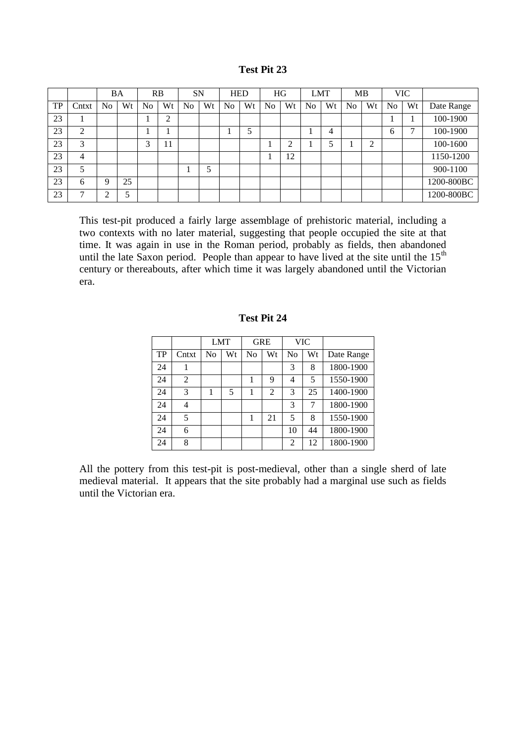|           |                |                | BA |                | RB     | <b>SN</b>      |    |                | <b>HED</b> | HG             |    |                | <b>LMT</b> |                | MB             |                | <b>VIC</b> |            |
|-----------|----------------|----------------|----|----------------|--------|----------------|----|----------------|------------|----------------|----|----------------|------------|----------------|----------------|----------------|------------|------------|
| <b>TP</b> | Cntxt          | N <sub>o</sub> | Wt | N <sub>0</sub> | Wt     | N <sub>o</sub> | Wt | N <sub>0</sub> | Wt         | N <sub>o</sub> | Wt | N <sub>0</sub> | Wt         | N <sub>0</sub> | Wt             | N <sub>o</sub> | Wt         | Date Range |
| 23        |                |                |    |                | ◠<br>∠ |                |    |                |            |                |    |                |            |                |                |                |            | 100-1900   |
| 23        | 2              |                |    |                |        |                |    |                | - 1        |                |    |                | 4          |                |                | 6              | ⇁          | 100-1900   |
| 23        | 3              |                |    | 3              | 11     |                |    |                |            |                | ◠  |                |            |                | $\overline{2}$ |                |            | 100-1600   |
| 23        | $\overline{4}$ |                |    |                |        |                |    |                |            |                | 12 |                |            |                |                |                |            | 1150-1200  |
| 23        | 5              |                |    |                |        |                | 5  |                |            |                |    |                |            |                |                |                |            | 900-1100   |
| 23        | 6              | 9              | 25 |                |        |                |    |                |            |                |    |                |            |                |                |                |            | 1200-800BC |
| 23        | 7              | ◠              | 5  |                |        |                |    |                |            |                |    |                |            |                |                |                |            | 1200-800BC |

This test-pit produced a fairly large assemblage of prehistoric material, including a two contexts with no later material, suggesting that people occupied the site at that time. It was again in use in the Roman period, probably as fields, then abandoned until the late Saxon period. People than appear to have lived at the site until the  $15<sup>th</sup>$ century or thereabouts, after which time it was largely abandoned until the Victorian era.

|    |       |    | <b>LMT</b> |    | <b>GRE</b>     |    | VIC |            |
|----|-------|----|------------|----|----------------|----|-----|------------|
| TP | Cntxt | No | Wt         | No | Wt             | No | Wt  | Date Range |
| 24 |       |    |            |    |                | 3  | 8   | 1800-1900  |
| 24 | 2     |    |            |    | 9              | 4  | 5   | 1550-1900  |
| 24 | 3     |    | 5          |    | $\overline{2}$ | 3  | 25  | 1400-1900  |
| 24 | 4     |    |            |    |                | 3  | 7   | 1800-1900  |
| 24 | 5     |    |            |    | 21             | 5  | 8   | 1550-1900  |
| 24 | 6     |    |            |    |                | 10 | 44  | 1800-1900  |
| 24 | 8     |    |            |    |                | 2  | 12  | 1800-1900  |

# **Test Pit 24**

All the pottery from this test-pit is post-medieval, other than a single sherd of late medieval material. It appears that the site probably had a marginal use such as fields until the Victorian era.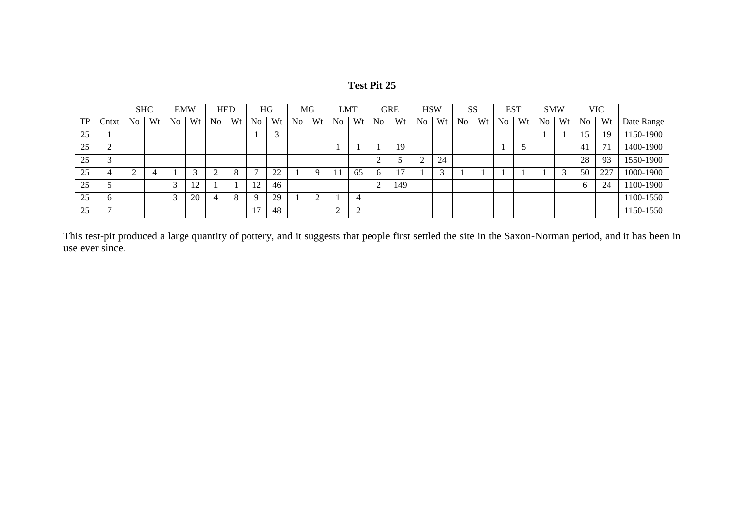| Test Pit 25 |  |  |
|-------------|--|--|
|-------------|--|--|

|    |        |                | <b>SHC</b> |    | <b>EMW</b> |                | <b>HED</b> |                   | HG       |                | MG             |    | LMT    |                          | GRE |                | <b>HSW</b> | <b>SS</b>      |    |                | <b>EST</b> | <b>SMW</b> |    |                | <b>VIC</b> |            |
|----|--------|----------------|------------|----|------------|----------------|------------|-------------------|----------|----------------|----------------|----|--------|--------------------------|-----|----------------|------------|----------------|----|----------------|------------|------------|----|----------------|------------|------------|
| TP | Cntxt  | N <sub>0</sub> | Wt         | No | Wt         | N <sub>0</sub> | Wt         | N <sub>0</sub>    | Wt       | N <sub>o</sub> | Wt             | No | Wt     | N <sub>o</sub>           | Wt  | N <sub>0</sub> | Wt         | N <sub>0</sub> | Wt | N <sub>o</sub> | Wt         | No         | Wt | N <sub>o</sub> | Wt         | Date Range |
| 25 |        |                |            |    |            |                |            |                   |          |                |                |    |        |                          |     |                |            |                |    |                |            |            |    | 15             | 19         | 150-1900   |
| 25 | ◠<br>∠ |                |            |    |            |                |            |                   |          |                |                |    |        |                          | 19  |                |            |                |    |                | J          |            |    | 41             | 7          | 1400-1900  |
| 25 | $\sim$ |                |            |    |            |                |            |                   |          |                |                |    |        | $\sim$<br>$\overline{ }$ |     | $\sim$         | 24         |                |    |                |            |            |    | 28             | 93         | 1550-1900  |
| 25 | 4      |                |            |    |            |                | 8          |                   | ററ<br>∠∠ |                | $\Omega$       |    | 65     | 6                        | ∽   |                | 3          |                |    |                |            |            |    | 50             | 227        | 1000-1900  |
| 25 | $\sim$ |                |            | ⌒  | 12         |                |            | $1^{\circ}$<br>⊥∠ | 46       |                |                |    |        | $\sim$<br>$\overline{ }$ | 149 |                |            |                |    |                |            |            |    | 6              | 24         | 1100-1900  |
| 25 | O      |                |            | ⌒  | 20         |                | 8          |                   | 29       |                | $\bigcap$<br>∠ |    |        |                          |     |                |            |                |    |                |            |            |    |                |            | 1100-1550  |
| 25 | −      |                |            |    |            |                |            |                   | 48       |                |                | ⌒  | $\sim$ |                          |     |                |            |                |    |                |            |            |    |                |            | 150-1550   |

This test-pit produced a large quantity of pottery, and it suggests that people first settled the site in the Saxon-Norman period, and it has been in use ever since.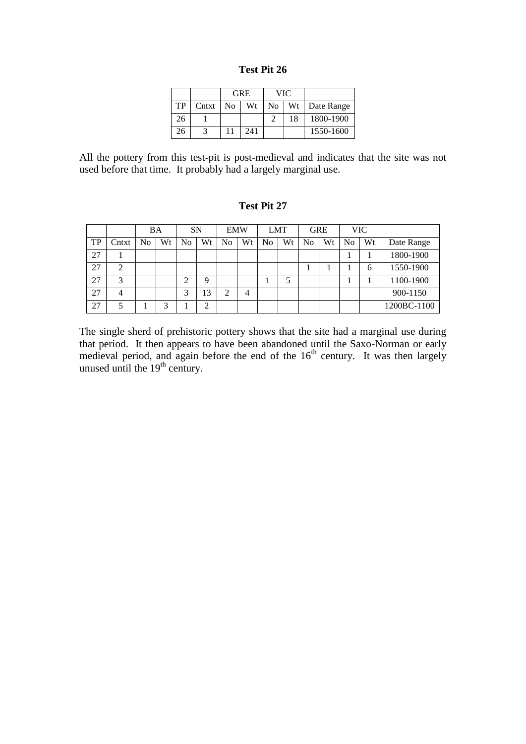| <b>Test Pit 26</b> |  |  |
|--------------------|--|--|
|--------------------|--|--|

|    |       |                | <b>GRE</b> |                | VIC |                 |
|----|-------|----------------|------------|----------------|-----|-----------------|
| TP | Cntxt | N <sub>0</sub> | Wt         | N <sub>0</sub> |     | Wt   Date Range |
| 26 |       |                |            |                | 18  | 1800-1900       |
| 26 |       |                | 241        |                |     | 1550-1600       |

All the pottery from this test-pit is post-medieval and indicates that the site was not used before that time. It probably had a largely marginal use.

# **Test Pit 27**

|    |       | <b>BA</b> |    | <b>SN</b> |    | <b>EMW</b> |    |    | <b>LMT</b> |    | <b>GRE</b> | <b>VIC</b> |    |             |
|----|-------|-----------|----|-----------|----|------------|----|----|------------|----|------------|------------|----|-------------|
| TP | Cntxt | No        | Wt | No        | Wt | No         | Wt | No | Wt         | No | Wt         | No         | Wt | Date Range  |
| 27 |       |           |    |           |    |            |    |    |            |    |            |            |    | 1800-1900   |
| 27 | ◠     |           |    |           |    |            |    |    |            |    |            |            | 6  | 1550-1900   |
| 27 | 3     |           |    | ⌒         | 9  |            |    |    |            |    |            |            |    | 1100-1900   |
| 27 | 4     |           |    | 2         | 3  | ⌒          | 4  |    |            |    |            |            |    | 900-1150    |
| 27 |       |           | ◠  |           | ⌒  |            |    |    |            |    |            |            |    | 1200BC-1100 |

The single sherd of prehistoric pottery shows that the site had a marginal use during that period. It then appears to have been abandoned until the Saxo-Norman or early medieval period, and again before the end of the  $16<sup>th</sup>$  century. It was then largely unused until the  $19<sup>th</sup>$  century.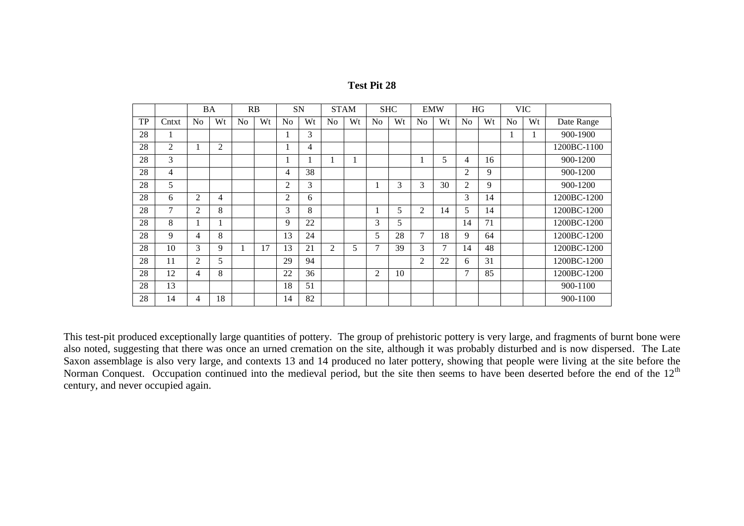| <b>Test Pit 28</b> |  |  |
|--------------------|--|--|
|--------------------|--|--|

|    |                |                | BA             |                | RB | SN             |    |                | <b>STAM</b> |                | <b>SHC</b> |                | <b>EMW</b>     |                | HG |                | <b>VIC</b> |             |
|----|----------------|----------------|----------------|----------------|----|----------------|----|----------------|-------------|----------------|------------|----------------|----------------|----------------|----|----------------|------------|-------------|
| TP | Cntxt          | N <sub>o</sub> | Wt             | N <sub>o</sub> | Wt | No             | Wt | N <sub>o</sub> | Wt          | N <sub>o</sub> | Wt         | N <sub>o</sub> | Wt             | N <sub>o</sub> | Wt | N <sub>o</sub> | Wt         | Date Range  |
| 28 | 1              |                |                |                |    | п              | 3  |                |             |                |            |                |                |                |    |                |            | 900-1900    |
| 28 | $\overline{2}$ |                | $\overline{2}$ |                |    | п              | 4  |                |             |                |            |                |                |                |    |                |            | 1200BC-1100 |
| 28 | $\overline{3}$ |                |                |                |    | п              |    |                |             |                |            |                | 5              | 4              | 16 |                |            | 900-1200    |
| 28 | 4              |                |                |                |    | 4              | 38 |                |             |                |            |                |                | $\overline{2}$ | 9  |                |            | 900-1200    |
| 28 | 5              |                |                |                |    | $\overline{2}$ | 3  |                |             | 1              | 3          | 3              | 30             | $\overline{2}$ | 9  |                |            | 900-1200    |
| 28 | 6              | $\overline{2}$ | 4              |                |    | $\overline{2}$ | 6  |                |             |                |            |                |                | 3              | 14 |                |            | 1200BC-1200 |
| 28 | 7              | $\overline{2}$ | 8              |                |    | 3              | 8  |                |             | 1              | 5          | 2              | 14             | 5              | 14 |                |            | 1200BC-1200 |
| 28 | 8              |                |                |                |    | 9              | 22 |                |             | 3              | 5          |                |                | 14             | 71 |                |            | 1200BC-1200 |
| 28 | 9              | 4              | 8              |                |    | 13             | 24 |                |             | 5              | 28         | 7              | 18             | 9              | 64 |                |            | 1200BC-1200 |
| 28 | 10             | 3              | 9              |                | 17 | 13             | 21 | $\overline{2}$ | 5           | 7              | 39         | 3              | $\overline{7}$ | 14             | 48 |                |            | 1200BC-1200 |
| 28 | 11             | $\overline{2}$ | 5              |                |    | 29             | 94 |                |             |                |            | $\overline{2}$ | 22             | 6              | 31 |                |            | 1200BC-1200 |
| 28 | 12             | 4              | 8              |                |    | 22             | 36 |                |             | 2              | 10         |                |                | 7              | 85 |                |            | 1200BC-1200 |
| 28 | 13             |                |                |                |    | 18             | 51 |                |             |                |            |                |                |                |    |                |            | 900-1100    |
| 28 | 14             | 4              | 18             |                |    | 14             | 82 |                |             |                |            |                |                |                |    |                |            | 900-1100    |

This test-pit produced exceptionally large quantities of pottery. The group of prehistoric pottery is very large, and fragments of burnt bone were also noted, suggesting that there was once an urned cremation on the site, although it was probably disturbed and is now dispersed. The Late Saxon assemblage is also very large, and contexts 13 and 14 produced no later pottery, showing that people were living at the site before the Norman Conquest. Occupation continued into the medieval period, but the site then seems to have been deserted before the end of the 12<sup>th</sup> century, and never occupied again.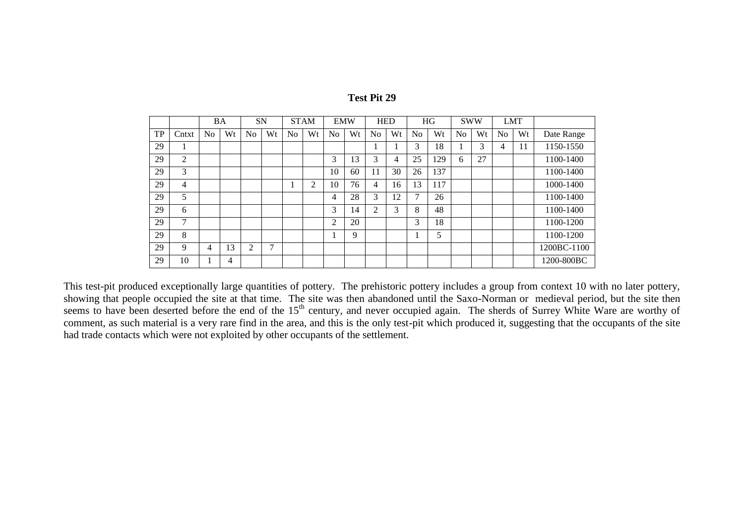|    |                |    | BA | SN             |    | <b>STAM</b>    |    | <b>EMW</b>     |    | <b>HED</b>     |    |    | HG  | <b>SWW</b>     |    | <b>LMT</b>     |    |             |
|----|----------------|----|----|----------------|----|----------------|----|----------------|----|----------------|----|----|-----|----------------|----|----------------|----|-------------|
| TP | Cntxt          | No | Wt | N <sub>o</sub> | Wt | N <sub>o</sub> | Wt | N <sub>0</sub> | Wt | N <sub>o</sub> | Wt | No | Wt  | N <sub>0</sub> | Wt | N <sub>o</sub> | Wt | Date Range  |
| 29 |                |    |    |                |    |                |    |                |    |                |    | 3  | 18  |                | 3  | 4              | 11 | 1150-1550   |
| 29 | 2              |    |    |                |    |                |    | 3              | 13 | 3              | 4  | 25 | 129 | 6              | 27 |                |    | 1100-1400   |
| 29 | 3              |    |    |                |    |                |    | 10             | 60 | 11             | 30 | 26 | 137 |                |    |                |    | 1100-1400   |
| 29 | $\overline{4}$ |    |    |                |    |                | 2  | 10             | 76 | 4              | 16 | 13 | 117 |                |    |                |    | 1000-1400   |
| 29 | 5              |    |    |                |    |                |    | 4              | 28 | 3              | 12 | ⇁  | 26  |                |    |                |    | 1100-1400   |
| 29 | 6              |    |    |                |    |                |    | 3              | 14 | 2              | 3  | 8  | 48  |                |    |                |    | 1100-1400   |
| 29 | $\mathcal{I}$  |    |    |                |    |                |    | 2              | 20 |                |    | 3  | 18  |                |    |                |    | 1100-1200   |
| 29 | 8              |    |    |                |    |                |    |                | 9  |                |    |    | 5   |                |    |                |    | 1100-1200   |
| 29 | 9              | 4  | 13 | 2              | 7  |                |    |                |    |                |    |    |     |                |    |                |    | 1200BC-1100 |
| 29 | 10             |    | 4  |                |    |                |    |                |    |                |    |    |     |                |    |                |    | 1200-800BC  |

This test-pit produced exceptionally large quantities of pottery. The prehistoric pottery includes a group from context 10 with no later pottery, showing that people occupied the site at that time. The site was then abandoned until the Saxo-Norman or medieval period, but the site then seems to have been deserted before the end of the 15<sup>th</sup> century, and never occupied again. The sherds of Surrey White Ware are worthy of comment, as such material is a very rare find in the area, and this is the only test-pit which produced it, suggesting that the occupants of the site had trade contacts which were not exploited by other occupants of the settlement.